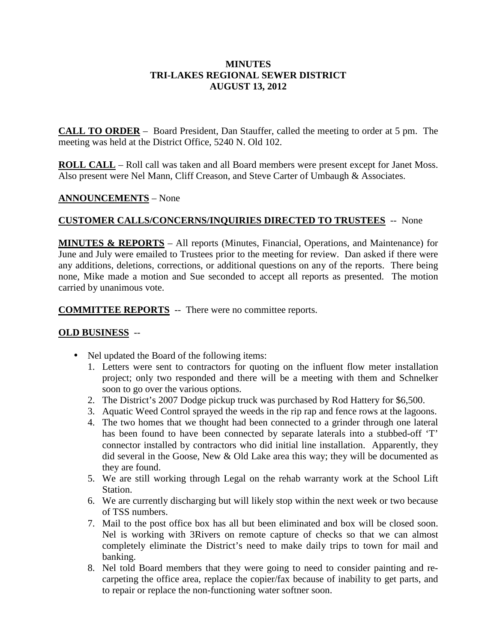#### **MINUTES TRI-LAKES REGIONAL SEWER DISTRICT AUGUST 13, 2012**

**CALL TO ORDER** – Board President, Dan Stauffer, called the meeting to order at 5 pm. The meeting was held at the District Office, 5240 N. Old 102.

**ROLL CALL** – Roll call was taken and all Board members were present except for Janet Moss. Also present were Nel Mann, Cliff Creason, and Steve Carter of Umbaugh & Associates.

#### **ANNOUNCEMENTS** – None

## **CUSTOMER CALLS/CONCERNS/INQUIRIES DIRECTED TO TRUSTEES** -- None

**MINUTES & REPORTS** – All reports (Minutes, Financial, Operations, and Maintenance) for June and July were emailed to Trustees prior to the meeting for review. Dan asked if there were any additions, deletions, corrections, or additional questions on any of the reports. There being none, Mike made a motion and Sue seconded to accept all reports as presented. The motion carried by unanimous vote.

**COMMITTEE REPORTS** -- There were no committee reports.

## **OLD BUSINESS** --

- Nel updated the Board of the following items:
	- 1. Letters were sent to contractors for quoting on the influent flow meter installation project; only two responded and there will be a meeting with them and Schnelker soon to go over the various options.
	- 2. The District's 2007 Dodge pickup truck was purchased by Rod Hattery for \$6,500.
	- 3. Aquatic Weed Control sprayed the weeds in the rip rap and fence rows at the lagoons.
	- 4. The two homes that we thought had been connected to a grinder through one lateral has been found to have been connected by separate laterals into a stubbed-off 'T' connector installed by contractors who did initial line installation. Apparently, they did several in the Goose, New  $&$  Old Lake area this way; they will be documented as they are found.
	- 5. We are still working through Legal on the rehab warranty work at the School Lift Station.
	- 6. We are currently discharging but will likely stop within the next week or two because of TSS numbers.
	- 7. Mail to the post office box has all but been eliminated and box will be closed soon. Nel is working with 3Rivers on remote capture of checks so that we can almost completely eliminate the District's need to make daily trips to town for mail and banking.
	- 8. Nel told Board members that they were going to need to consider painting and recarpeting the office area, replace the copier/fax because of inability to get parts, and to repair or replace the non-functioning water softner soon.